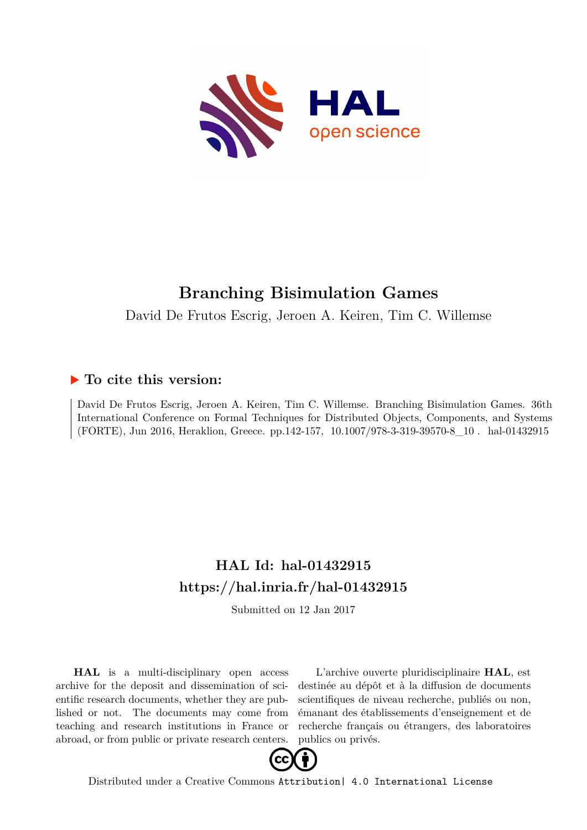

# **Branching Bisimulation Games**

David De Frutos Escrig, Jeroen A. Keiren, Tim C. Willemse

# **To cite this version:**

David De Frutos Escrig, Jeroen A. Keiren, Tim C. Willemse. Branching Bisimulation Games. 36th International Conference on Formal Techniques for Distributed Objects, Components, and Systems (FORTE), Jun 2016, Heraklion, Greece. pp.142-157, 10.1007/978-3-319-39570-8 10. hal-01432915

# **HAL Id: hal-01432915 <https://hal.inria.fr/hal-01432915>**

Submitted on 12 Jan 2017

**HAL** is a multi-disciplinary open access archive for the deposit and dissemination of scientific research documents, whether they are published or not. The documents may come from teaching and research institutions in France or abroad, or from public or private research centers.

L'archive ouverte pluridisciplinaire **HAL**, est destinée au dépôt et à la diffusion de documents scientifiques de niveau recherche, publiés ou non, émanant des établissements d'enseignement et de recherche français ou étrangers, des laboratoires publics ou privés.



Distributed under a Creative Commons [Attribution| 4.0 International License](http://creativecommons.org/licenses/by/4.0/)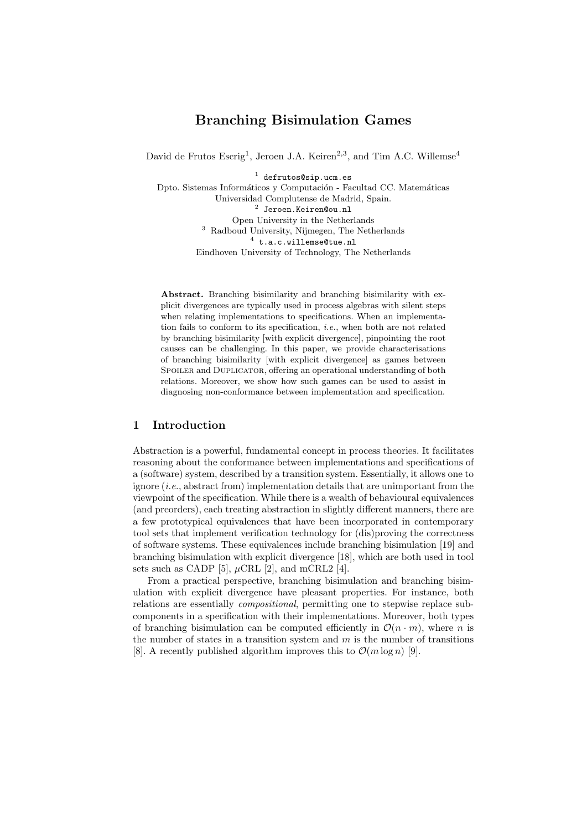# Branching Bisimulation Games

David de Frutos Escrig<sup>1</sup>, Jeroen J.A. Keiren<sup>2,3</sup>, and Tim A.C. Willemse<sup>4</sup>

 $1$  defrutos@sip.ucm.es

Dpto. Sistemas Informáticos y Computación - Facultad CC. Matemáticas Universidad Complutense de Madrid, Spain. 2 Jeroen.Keiren@ou.nl Open University in the Netherlands <sup>3</sup> Radboud University, Nijmegen, The Netherlands  $4$  t.a.c.willemse@tue.nl Eindhoven University of Technology, The Netherlands

Abstract. Branching bisimilarity and branching bisimilarity with explicit divergences are typically used in process algebras with silent steps when relating implementations to specifications. When an implementation fails to conform to its specification, i.e., when both are not related by branching bisimilarity [with explicit divergence], pinpointing the root causes can be challenging. In this paper, we provide characterisations of branching bisimilarity [with explicit divergence] as games between SPOILER and DUPLICATOR, offering an operational understanding of both relations. Moreover, we show how such games can be used to assist in diagnosing non-conformance between implementation and specification.

## 1 Introduction

Abstraction is a powerful, fundamental concept in process theories. It facilitates reasoning about the conformance between implementations and specifications of a (software) system, described by a transition system. Essentially, it allows one to ignore (i.e., abstract from) implementation details that are unimportant from the viewpoint of the specification. While there is a wealth of behavioural equivalences (and preorders), each treating abstraction in slightly different manners, there are a few prototypical equivalences that have been incorporated in contemporary tool sets that implement verification technology for (dis)proving the correctness of software systems. These equivalences include branching bisimulation [19] and branching bisimulation with explicit divergence [18], which are both used in tool sets such as CADP [5],  $\mu$ CRL [2], and mCRL2 [4].

From a practical perspective, branching bisimulation and branching bisimulation with explicit divergence have pleasant properties. For instance, both relations are essentially compositional, permitting one to stepwise replace subcomponents in a specification with their implementations. Moreover, both types of branching bisimulation can be computed efficiently in  $\mathcal{O}(n \cdot m)$ , where n is the number of states in a transition system and  $m$  is the number of transitions [8]. A recently published algorithm improves this to  $\mathcal{O}(m \log n)$  [9].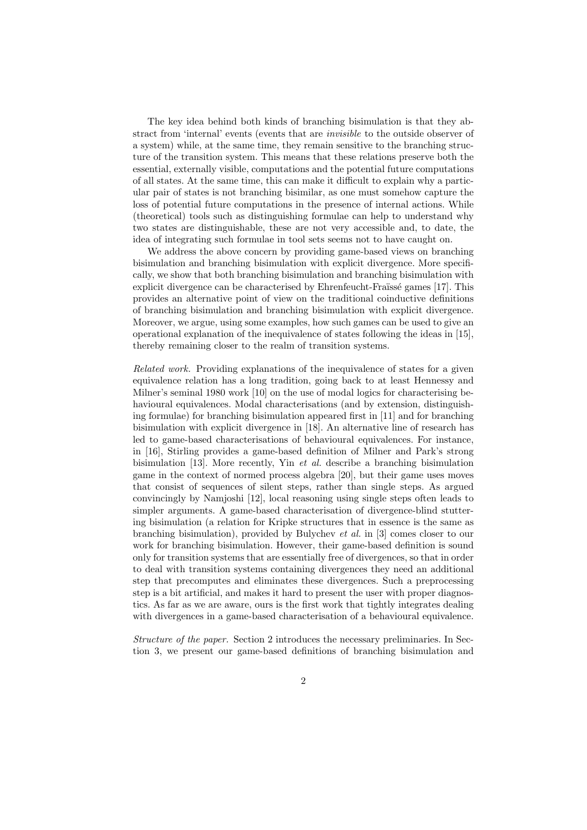The key idea behind both kinds of branching bisimulation is that they abstract from 'internal' events (events that are *invisible* to the outside observer of a system) while, at the same time, they remain sensitive to the branching structure of the transition system. This means that these relations preserve both the essential, externally visible, computations and the potential future computations of all states. At the same time, this can make it difficult to explain why a particular pair of states is not branching bisimilar, as one must somehow capture the loss of potential future computations in the presence of internal actions. While (theoretical) tools such as distinguishing formulae can help to understand why two states are distinguishable, these are not very accessible and, to date, the idea of integrating such formulae in tool sets seems not to have caught on.

We address the above concern by providing game-based views on branching bisimulation and branching bisimulation with explicit divergence. More specifically, we show that both branching bisimulation and branching bisimulation with explicit divergence can be characterised by Ehrenfeucht-Fraïssé games [17]. This provides an alternative point of view on the traditional coinductive definitions of branching bisimulation and branching bisimulation with explicit divergence. Moreover, we argue, using some examples, how such games can be used to give an operational explanation of the inequivalence of states following the ideas in [15], thereby remaining closer to the realm of transition systems.

Related work. Providing explanations of the inequivalence of states for a given equivalence relation has a long tradition, going back to at least Hennessy and Milner's seminal 1980 work [10] on the use of modal logics for characterising behavioural equivalences. Modal characterisations (and by extension, distinguishing formulae) for branching bisimulation appeared first in [11] and for branching bisimulation with explicit divergence in [18]. An alternative line of research has led to game-based characterisations of behavioural equivalences. For instance, in [16], Stirling provides a game-based definition of Milner and Park's strong bisimulation [13]. More recently, Yin et al. describe a branching bisimulation game in the context of normed process algebra [20], but their game uses moves that consist of sequences of silent steps, rather than single steps. As argued convincingly by Namjoshi [12], local reasoning using single steps often leads to simpler arguments. A game-based characterisation of divergence-blind stuttering bisimulation (a relation for Kripke structures that in essence is the same as branching bisimulation), provided by Bulychev et al. in [3] comes closer to our work for branching bisimulation. However, their game-based definition is sound only for transition systems that are essentially free of divergences, so that in order to deal with transition systems containing divergences they need an additional step that precomputes and eliminates these divergences. Such a preprocessing step is a bit artificial, and makes it hard to present the user with proper diagnostics. As far as we are aware, ours is the first work that tightly integrates dealing with divergences in a game-based characterisation of a behavioural equivalence.

Structure of the paper. Section 2 introduces the necessary preliminaries. In Section 3, we present our game-based definitions of branching bisimulation and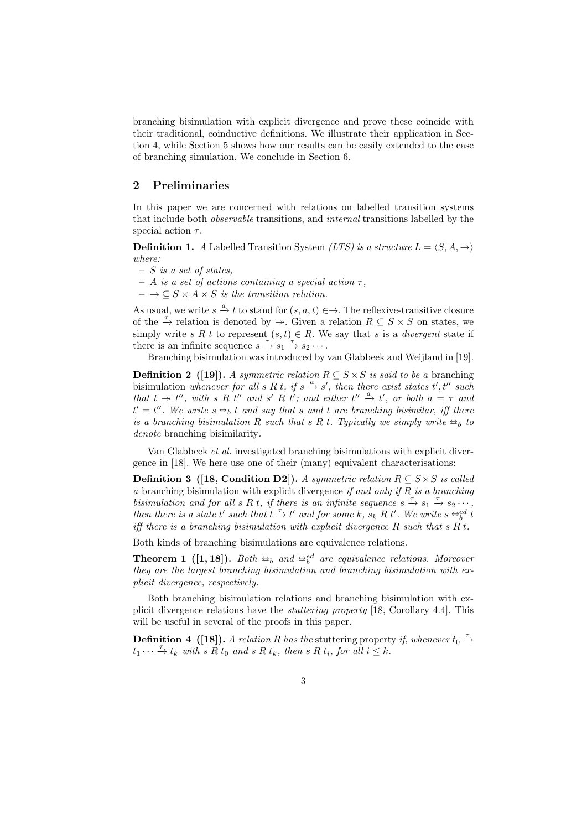branching bisimulation with explicit divergence and prove these coincide with their traditional, coinductive definitions. We illustrate their application in Section 4, while Section 5 shows how our results can be easily extended to the case of branching simulation. We conclude in Section 6.

### 2 Preliminaries

In this paper we are concerned with relations on labelled transition systems that include both observable transitions, and internal transitions labelled by the special action  $\tau$ .

**Definition 1.** A Labelled Transition System (LTS) is a structure  $L = \langle S, A, \rightarrow \rangle$  $where$ 

- $S$  is a set of states,
- $A$  is a set of actions containing a special action  $\tau$ ,
- $\to \subseteq S \times A \times S$  is the transition relation.

As usual, we write  $s \stackrel{a}{\rightarrow} t$  to stand for  $(s, a, t) \in \rightarrow$ . The reflexive-transitive closure of the  $\stackrel{\tau}{\to}$  relation is denoted by  $\to$ . Given a relation  $R \subseteq S \times S$  on states, we simply write s R t to represent  $(s, t) \in R$ . We say that s is a *divergent* state if there is an infinite sequence  $s \stackrel{\tau}{\to} s_1 \stackrel{\tau}{\to} s_2 \cdots$ .

Branching bisimulation was introduced by van Glabbeek and Weijland in [19].

**Definition 2** ([19]). A symmetric relation  $R \subseteq S \times S$  is said to be a branching bisimulation whenever for all s R t, if s  $\stackrel{a}{\rightarrow} s'$ , then there exist states t', t'' such that  $t \to t''$ , with s R t'' and s' R t'; and either  $t'' \stackrel{a}{\to} t'$ , or both  $a = \tau$  and  $t' = t''$ . We write  $s \oplus_b t$  and say that s and t are branching bisimilar, iff there is a branching bisimulation  $B$  such that  $s \oplus t$ . Thus callulate simply write  $\ominus_t$ , to is a branching bisimulation R such that s R t. Typically we simply write  $\Rightarrow_b$  to denote branching bisimilarity.

Van Glabbeek et al. investigated branching bisimulations with explicit divergence in [18]. We here use one of their (many) equivalent characterisations:

**Definition 3** ([18, Condition D2]). A symmetric relation  $R \subseteq S \times S$  is called a branching bisimulation with explicit divergence if and only if  $R$  is a branching bisimulation and for all s R t, if there is an infinite sequence  $s \stackrel{\tau}{\rightarrow} s_1 \stackrel{\tau}{\rightarrow} s_2 \cdots$ , then there is a state t' such that  $t \to t'$  and for some k,  $s_k R t'$ . We write  $s \to t'$  if there is a proposing highward ion with conjugit divergence R guab that  $s \to t$ iff there is a branching bisimulation with explicit divergence  $R$  such that  $s R t$ .

Both kinds of branching bisimulations are equivalence relations.

**Theorem 1** ([1, 18]). Both  $\Rightarrow_b$  and  $\Rightarrow_b^{ed}$  are equivalence relations. Moreover they are the lexacet branching bisimulation and branching bisimulation with axis they are the largest branching bisimulation and branching bisimulation with explicit divergence, respectively.

Both branching bisimulation relations and branching bisimulation with explicit divergence relations have the stuttering property [18, Corollary 4.4]. This will be useful in several of the proofs in this paper.

**Definition 4** ([18]). A relation R has the stuttering property if, whenever  $t_0 \stackrel{\tau}{\rightarrow}$  $t_1 \cdots \xrightarrow{\tau} t_k$  with s R  $t_0$  and s R  $t_k$ , then s R  $t_i$ , for all  $i \leq k$ .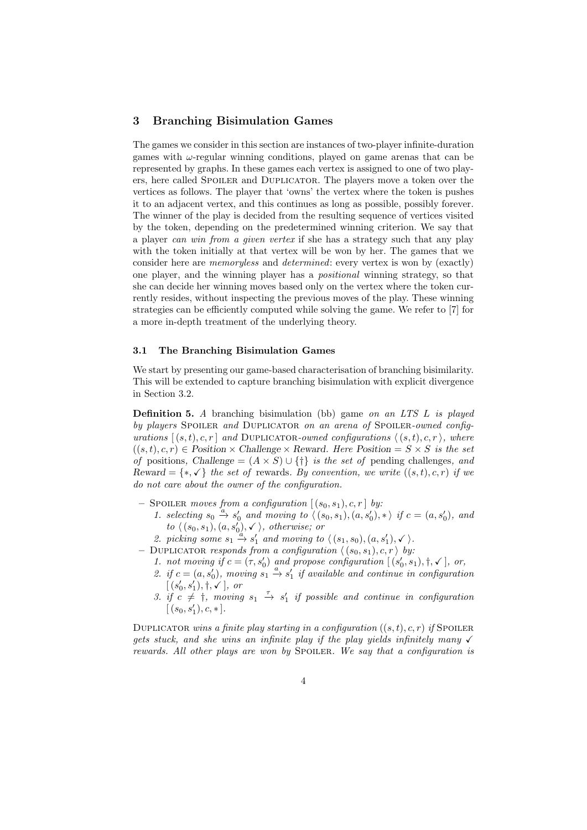# 3 Branching Bisimulation Games

The games we consider in this section are instances of two-player infinite-duration games with  $\omega$ -regular winning conditions, played on game arenas that can be represented by graphs. In these games each vertex is assigned to one of two players, here called Spoiler and Duplicator. The players move a token over the vertices as follows. The player that 'owns' the vertex where the token is pushes it to an adjacent vertex, and this continues as long as possible, possibly forever. The winner of the play is decided from the resulting sequence of vertices visited by the token, depending on the predetermined winning criterion. We say that a player can win from a given vertex if she has a strategy such that any play with the token initially at that vertex will be won by her. The games that we consider here are memoryless and determined: every vertex is won by (exactly) one player, and the winning player has a positional winning strategy, so that she can decide her winning moves based only on the vertex where the token currently resides, without inspecting the previous moves of the play. These winning strategies can be efficiently computed while solving the game. We refer to [7] for a more in-depth treatment of the underlying theory.

#### 3.1 The Branching Bisimulation Games

We start by presenting our game-based characterisation of branching bisimilarity. This will be extended to capture branching bisimulation with explicit divergence in Section 3.2.

**Definition 5.** A branching bisimulation (bb) game on an LTS  $L$  is played by players SPOILER and DUPLICATOR on an arena of SPOILER-owned configurations  $[(s, t), c, r]$  and DUPLICATOR-owned configurations  $\langle (s, t), c, r \rangle$ , where  $((s,t), c, r) \in$  Position  $\times$  Challenge  $\times$  Reward. Here Position =  $S \times S$  is the set of positions, Challenge =  $(A \times S) \cup \{\dagger\}$  is the set of pending challenges, and Reward =  $\{*, \checkmark\}$  the set of rewards. By convention, we write  $((s,t), c, r)$  if we do not care about the owner of the configuration.

- SPOILER moves from a configuration  $[(s_0, s_1), c, r]$  by:
	- 1. selecting  $s_0 \stackrel{a}{\rightarrow} s'_0$  and moving to  $\langle (s_0, s_1), (a, s'_0), * \rangle$  if  $c = (a, s'_0)$ , and to  $\langle (s_0, s_1), (a, s'_0), \checkmark \rangle$ , otherwise; or
	- 2. picking some  $s_1 \stackrel{a'}{\rightarrow} s'_1$  and moving to  $\langle (s_1, s_0), (a, s'_1), \checkmark \rangle$ .
- DUPLICATOR responds from a configuration  $\langle (s_0, s_1), c, r \rangle$  by:
	- 1. not moving if  $c = (\tau, s'_0)$  and propose configuration  $[(s'_0, s_1), \dagger, \ell]$ , or,
	- 2. if  $c = (a, s'_0)$ , moving  $s_1 \stackrel{a}{\rightarrow} s'_1$  if available and continue in configuration  $[(s'_0, s'_1), \dagger, \checkmark],$  or
	- 3. if  $c \neq 1$ , moving  $s_1 \stackrel{\tau}{\rightarrow} s'_1$  if possible and continue in configuration  $[(s_0, s'_1), c, *].$

DUPLICATOR wins a finite play starting in a configuration  $((s,t), c, r)$  if Spoiler gets stuck, and she wins an infinite play if the play yields infinitely many  $\checkmark$ rewards. All other plays are won by SPOILER. We say that a configuration is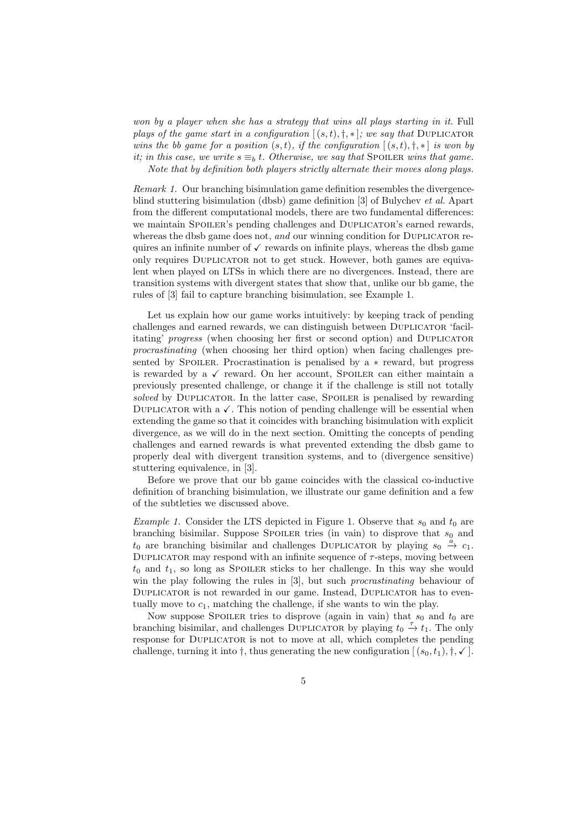won by a player when she has a strategy that wins all plays starting in it. Full plays of the game start in a configuration  $[(s,t),\dagger,\ast]$ ; we say that DUPLICATOR wins the bb game for a position  $(s, t)$ , if the configuration  $[(s, t), \dagger, \dagger]$  is won by it; in this case, we write  $s \equiv_b t$ . Otherwise, we say that SpOILER wins that game. Note that by definition both players strictly alternate their moves along plays.

Remark 1. Our branching bisimulation game definition resembles the divergenceblind stuttering bisimulation (dbsb) game definition [3] of Bulychev et al. Apart from the different computational models, there are two fundamental differences: we maintain SPOILER's pending challenges and DUPLICATOR's earned rewards, whereas the dbsb game does not, and our winning condition for DUPLICATOR requires an infinite number of  $\checkmark$  rewards on infinite plays, whereas the dbsb game only requires Duplicator not to get stuck. However, both games are equivalent when played on LTSs in which there are no divergences. Instead, there are transition systems with divergent states that show that, unlike our bb game, the rules of [3] fail to capture branching bisimulation, see Example 1.

Let us explain how our game works intuitively: by keeping track of pending challenges and earned rewards, we can distinguish between DUPLICATOR 'facilitating' progress (when choosing her first or second option) and DUPLICATOR procrastinating (when choosing her third option) when facing challenges presented by SPOILER. Procrastination is penalised by  $a * reward$ , but progress is rewarded by a  $\checkmark$  reward. On her account, SPOILER can either maintain a previously presented challenge, or change it if the challenge is still not totally solved by DUPLICATOR. In the latter case, SPOILER is penalised by rewarding DUPLICATOR with  $\alpha \checkmark$ . This notion of pending challenge will be essential when extending the game so that it coincides with branching bisimulation with explicit divergence, as we will do in the next section. Omitting the concepts of pending challenges and earned rewards is what prevented extending the dbsb game to properly deal with divergent transition systems, and to (divergence sensitive) stuttering equivalence, in [3].

Before we prove that our bb game coincides with the classical co-inductive definition of branching bisimulation, we illustrate our game definition and a few of the subtleties we discussed above.

*Example 1.* Consider the LTS depicted in Figure 1. Observe that  $s_0$  and  $t_0$  are branching bisimilar. Suppose SPOILER tries (in vain) to disprove that  $s_0$  and  $t_0$  are branching bisimilar and challenges DUPLICATOR by playing  $s_0 \stackrel{\check{a}}{\rightarrow} c_1$ . DUPLICATOR may respond with an infinite sequence of  $\tau$ -steps, moving between  $t_0$  and  $t_1$ , so long as SPOILER sticks to her challenge. In this way she would win the play following the rules in [3], but such *procrastinating* behaviour of DUPLICATOR is not rewarded in our game. Instead, DUPLICATOR has to eventually move to  $c_1$ , matching the challenge, if she wants to win the play.

Now suppose SPOILER tries to disprove (again in vain) that  $s_0$  and  $t_0$  are branching bisimilar, and challenges DUPLICATOR by playing  $t_0 \stackrel{\tau}{\rightarrow} t_1$ . The only response for DUPLICATOR is not to move at all, which completes the pending challenge, turning it into  $\dagger$ , thus generating the new configuration  $[(s_0, t_1), \dagger, \mathbf{v}]$ .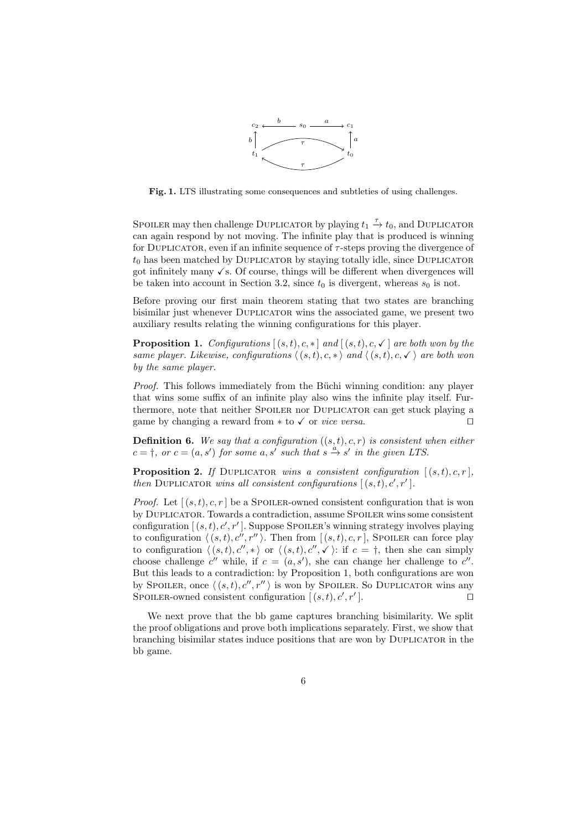

Fig. 1. LTS illustrating some consequences and subtleties of using challenges.

SPOILER may then challenge DUPLICATOR by playing  $t_1 \stackrel{\tau}{\rightarrow} t_0$ , and DUPLICATOR can again respond by not moving. The infinite play that is produced is winning for DUPLICATOR, even if an infinite sequence of  $\tau$ -steps proving the divergence of  $t_0$  has been matched by DUPLICATOR by staying totally idle, since DUPLICATOR got infinitely many  $\checkmark$  s. Of course, things will be different when divergences will be taken into account in Section 3.2, since  $t_0$  is divergent, whereas  $s_0$  is not.

Before proving our first main theorem stating that two states are branching bisimilar just whenever Duplicator wins the associated game, we present two auxiliary results relating the winning configurations for this player.

**Proposition 1.** Configurations  $[(s,t),c,*]$  and  $[(s,t),c,\checkmark]$  are both won by the same player. Likewise, configurations  $\langle (s, t), c, * \rangle$  and  $\langle (s, t), c, \checkmark \rangle$  are both won by the same player.

*Proof.* This follows immediately from the Büchi winning condition: any player that wins some suffix of an infinite play also wins the infinite play itself. Furthermore, note that neither SPOILER nor DUPLICATOR can get stuck playing a game by changing a reward from  $*$  to  $\checkmark$  or *vice versa*.

**Definition 6.** We say that a configuration  $((s,t), c, r)$  is consistent when either  $c = \dagger$ , or  $c = (a, s')$  for some a, s' such that  $s \stackrel{a}{\rightarrow} s'$  in the given LTS.

**Proposition 2.** If DUPLICATOR wins a consistent configuration  $[(s,t), c, r]$ , then DUPLICATOR wins all consistent configurations  $[(s,t), c', r']$ .

*Proof.* Let  $[(s, t), c, r]$  be a Spoiler-owned consistent configuration that is won by Duplicator. Towards a contradiction, assume Spoiler wins some consistent configuration  $[(s,t), c', r']$ . Suppose Spoiler's winning strategy involves playing to configuration  $\langle (s, t), c'', r'' \rangle$ . Then from  $[(s, t), c, r]$ , Spoiler can force play to configuration  $\langle (s, t), c'', \rangle$  or  $\langle (s, t), c'', \checkmark \rangle$ : if  $c = \dagger$ , then she can simply choose challenge c'' while, if  $c = (a, s')$ , she can change her challenge to c''. But this leads to a contradiction: by Proposition 1, both configurations are won by SPOILER, once  $\langle (s, t), c'', r'' \rangle$  is won by SPOILER. So DUPLICATOR wins any SPOILER-owned consistent configuration  $[(s,t), c', r']$  $\Box$ 

We next prove that the bb game captures branching bisimilarity. We split the proof obligations and prove both implications separately. First, we show that branching bisimilar states induce positions that are won by Duplicator in the bb game.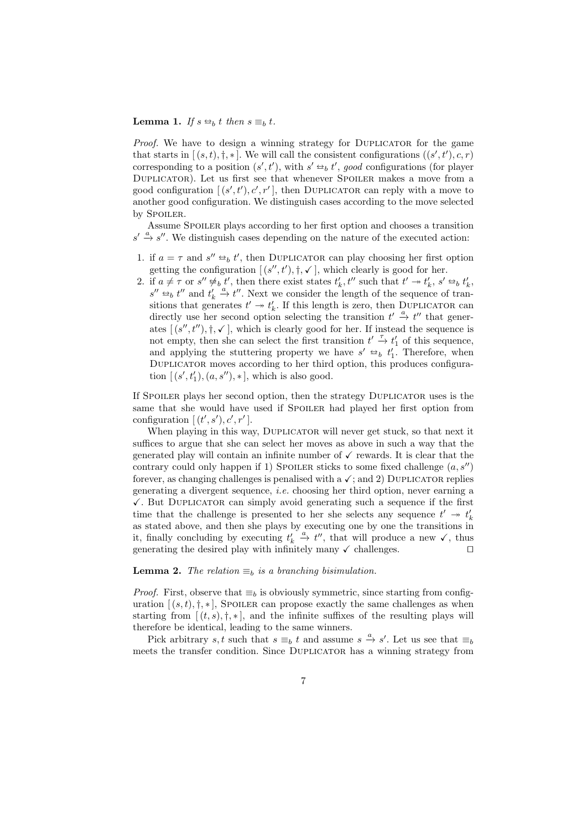#### **Lemma 1.** If  $s \triangleleft_b t$  then  $s \equiv_b t$ .

Proof. We have to design a winning strategy for DUPLICATOR for the game that starts in  $[(s,t),\dagger,*]$ . We will call the consistent configurations  $((s',t'),c,r)$ corresponding to a position  $(s', t')$ , with  $s' \leftrightarrow_b t'$ , good configurations (for player<br>DUBLIO TOP), Let us first see that whenever Spoulde purchase a move from a Duplicator). Let us first see that whenever Spoiler makes a move from a good configuration  $[(s', t'), c', r']$ , then DUPLICATOR can reply with a move to another good configuration. We distinguish cases according to the move selected by SPOILER.

Assume SPOILER plays according to her first option and chooses a transition  $s' \stackrel{a}{\rightarrow} s''$ . We distinguish cases depending on the nature of the executed action:

- 1. if  $a = \tau$  and  $s'' \Leftrightarrow_b t'$ , then DUPLICATOR can play choosing her first option esting the configuration  $[(s'' + t') + (1 \text{which clearly is good for her})]$ getting the configuration  $[(s'', t'), \dagger, \checkmark]$ , which clearly is good for her.
- 2. if  $a \neq \tau$  or  $s'' \not\approx_b t'$ , then there exist states  $t'_k, t''$  such that  $t' \rightarrow t'_k, s' \rrightarrow_b t'_k,$ <br> $s'' \leftrightarrow t''$  and  $t'' \xrightarrow{a'} t''$ . Nort we consider the length of the sequence of trans  $s'' \leftrightarrow b''$  and  $t'_k \stackrel{a}{\rightarrow} t''$ . Next we consider the length of the sequence of tran-<br>sitions that generates  $t' \rightarrow t'$ . If this length is zero, then DUBLICATOR can sitions that generates  $t' \rightarrow t'_{k}$ . If this length is zero, then DUPLICATOR can directly use her second option selecting the transition  $t' \stackrel{a}{\rightarrow} t''$  that generates  $[(s'', t''), \dagger, \checkmark]$ , which is clearly good for her. If instead the sequence is not empty, then she can select the first transition  $t' \stackrel{\tau}{\rightarrow} t'_1$  of this sequence, and applying the stuttering property we have  $s' \leftrightarrow_b t'_1$ . Therefore, when<br>DUBLICATOR moves according to ber third option, this produces configure Duplicator moves according to her third option, this produces configuration  $[(s', t'_1), (a, s''), *]$ , which is also good.

If SPOILER plays her second option, then the strategy DUPLICATOR uses is the same that she would have used if SPOILER had played her first option from configuration  $[(t', s'), c', r']$ .

When playing in this way, DUPLICATOR will never get stuck, so that next it suffices to argue that she can select her moves as above in such a way that the generated play will contain an infinite number of  $\checkmark$  rewards. It is clear that the contrary could only happen if 1) SPOILER sticks to some fixed challenge  $(a, s'')$ forever, as changing challenges is penalised with a  $\checkmark$ ; and 2) DUPLICATOR replies generating a divergent sequence, i.e. choosing her third option, never earning a  $\checkmark$ . But DUPLICATOR can simply avoid generating such a sequence if the first time that the challenge is presented to her she selects any sequence  $t' \rightarrow t'_{k}$ as stated above, and then she plays by executing one by one the transitions in it, finally concluding by executing  $t'_k \stackrel{a}{\rightarrow} t''$ , that will produce a new  $\checkmark$ , thus generating the desired play with infinitely many  $\checkmark$  challenges.

#### **Lemma 2.** The relation  $\equiv_b$  is a branching bisimulation.

*Proof.* First, observe that  $\equiv_b$  is obviously symmetric, since starting from configuration  $[(s,t), \dagger, *]$ , Spoiler can propose exactly the same challenges as when starting from  $[(t, s), \dagger, \ast]$ , and the infinite suffixes of the resulting plays will therefore be identical, leading to the same winners.

Pick arbitrary s, t such that  $s \equiv_b t$  and assume  $s \stackrel{a}{\to} s'$ . Let us see that  $\equiv_b$ meets the transfer condition. Since DUPLICATOR has a winning strategy from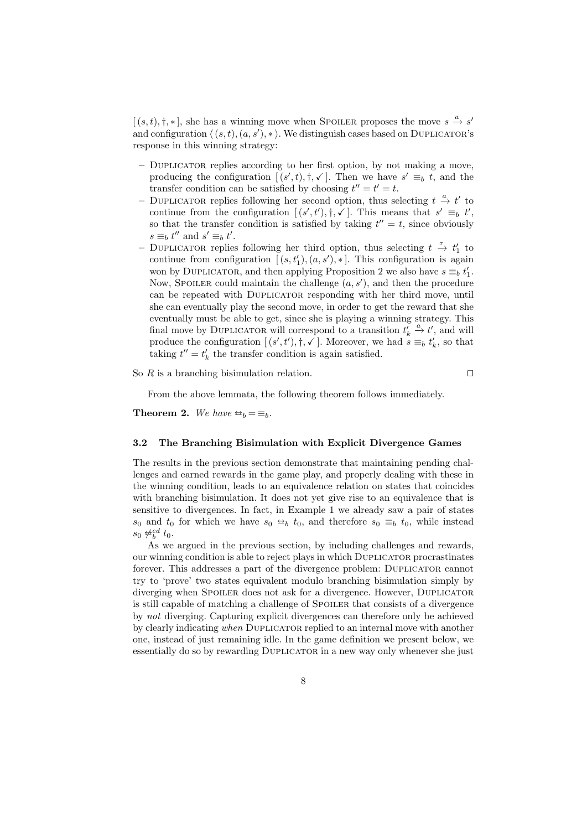$[(s,t), \dagger, *]$ , she has a winning move when SPOILER proposes the move  $s \xrightarrow{a} s'$ and configuration  $\langle (s, t), (a, s'), * \rangle$ . We distinguish cases based on DUPLICATOR's response in this winning strategy:

- Duplicator replies according to her first option, by not making a move, producing the configuration  $[(s', t), \dagger, \checkmark]$ . Then we have  $s' \equiv_b t$ , and the transfer condition can be satisfied by choosing  $t'' = t' = t$ .
- DUPLICATOR replies following her second option, thus selecting  $t \stackrel{a}{\rightarrow} t'$  to continue from the configuration  $[(s', t'), \dagger, \checkmark]$ . This means that  $s' \equiv_b t'$ , so that the transfer condition is satisfied by taking  $t'' = t$ , since obviously  $s \equiv_b t''$  and  $s' \equiv_b t'$ .
- DUPLICATOR replies following her third option, thus selecting  $t \stackrel{\tau}{\rightarrow} t'_1$  to continue from configuration  $[(s, t'_1), (a, s'), *]$ . This configuration is again won by DUPLICATOR, and then applying Proposition 2 we also have  $s \equiv_b t'_1$ . Now, SPOILER could maintain the challenge  $(a, s')$ , and then the procedure can be repeated with Duplicator responding with her third move, until she can eventually play the second move, in order to get the reward that she eventually must be able to get, since she is playing a winning strategy. This final move by DUPLICATOR will correspond to a transition  $t'_{k} \stackrel{a}{\rightarrow} t'$ , and will produce the configuration  $[(s', t'), \dagger, \checkmark]$ . Moreover, we had  $\hat{s} \equiv_b t'_k$ , so that taking  $t'' = t'_k$  the transfer condition is again satisfied.

So  $R$  is a branching bisimulation relation.  $\square$ 

From the above lemmata, the following theorem follows immediately.

**Theorem 2.** We have  $\Rightarrow_b = \equiv_b$ .

#### 3.2 The Branching Bisimulation with Explicit Divergence Games

The results in the previous section demonstrate that maintaining pending challenges and earned rewards in the game play, and properly dealing with these in the winning condition, leads to an equivalence relation on states that coincides with branching bisimulation. It does not yet give rise to an equivalence that is sensitive to divergences. In fact, in Example 1 we already saw a pair of states s<sub>0</sub> and  $t_0$  for which we have  $s_0 \leftrightarrow b_0$  t<sub>0</sub>, and therefore  $s_0 \equiv_b t_0$ , while instead  $s_0 \not\approx_b^{ed} t_0.$ 

As we argued in the previous section, by including challenges and rewards, our winning condition is able to reject plays in which Duplicator procrastinates forever. This addresses a part of the divergence problem: Duplicator cannot try to 'prove' two states equivalent modulo branching bisimulation simply by diverging when SPOILER does not ask for a divergence. However, DUPLICATOR is still capable of matching a challenge of SPOILER that consists of a divergence by not diverging. Capturing explicit divergences can therefore only be achieved by clearly indicating when DUPLICATOR replied to an internal move with another one, instead of just remaining idle. In the game definition we present below, we essentially do so by rewarding DUPLICATOR in a new way only whenever she just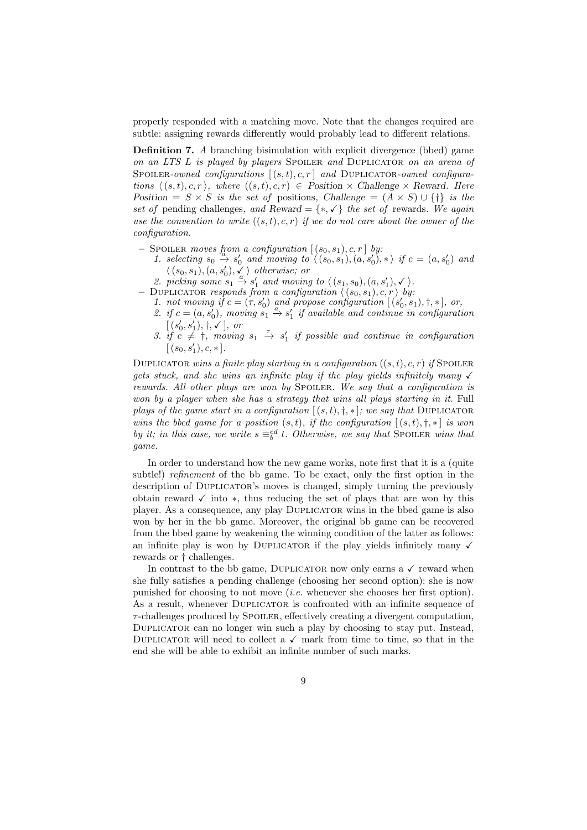properly responded with a matching move. Note that the changes required are subtle: assigning rewards differently would probably lead to different relations.

Definition 7. A branching bisimulation with explicit divergence (bbed) game on an LTS L is played by players SPOILER and DUPLICATOR on an arena of SPOILER-owned configurations  $[(s,t),c,r]$  and DUPLICATOR-owned configurations  $\langle (s, t), c, r \rangle$ , where  $((s, t), c, r) \in$  Position  $\times$  Challenge  $\times$  Reward. Here Position =  $S \times S$  is the set of positions, Challenge =  $(A \times S) \cup \{\dagger\}$  is the set of pending challenges, and Reward =  $\{*, \checkmark\}$  the set of rewards. We again use the convention to write  $((s,t), c, r)$  if we do not care about the owner of the configuration.

- SPOILER moves from a configuration  $[(s_0, s_1), c, r]$  by:
	- 1. selecting  $s_0 \xrightarrow{\alpha} s'_0$  and moving to  $\langle (s_0, s_1), (a, s'_0), *\rangle$  if  $c = (a, s'_0)$  and  $\langle (s_0, s_1), (a, s'_0), \checkmark \rangle$  otherwise; or
	- 2. picking some  $s_1 \stackrel{a}{\rightarrow} s'_1$  and moving to  $\langle (s_1, s_0), (a, s'_1), \checkmark \rangle$ .
- DUPLICATOR responds from a configuration  $\langle (s_0, s_1), c, r \rangle$  by:
	- 1. not moving if  $c = (\tau, s'_0)$  and propose configuration  $[(s'_0, s_1), \dagger, \ast]$ , or,
	- 2. if  $c = (a, s'_0)$ , moving  $s_1 \stackrel{a}{\rightarrow} s'_1$  if available and continue in configuration  $[(s'_0, s'_1), \dagger, \checkmark],$  or
	- 3. if  $c \neq 1$ , moving  $s_1 \stackrel{\tau}{\rightarrow} s'_1$  if possible and continue in configuration  $[(s_0, s'_1), c, *].$

DUPLICATOR wins a finite play starting in a configuration  $((s,t), c, r)$  if Spoiler gets stuck, and she wins an infinite play if the play yields infinitely many  $\checkmark$ rewards. All other plays are won by SPOILER. We say that a configuration is won by a player when she has a strategy that wins all plays starting in it. Full plays of the game start in a configuration  $[(s,t),\dagger,\ast]$ ; we say that DUPLICATOR wins the bbed game for a position  $(s, t)$ , if the configuration  $[(s, t), \dagger, \dagger]$  is won by it; in this case, we write  $s \equiv_b^{ed} t$ . Otherwise, we say that SPOILER wins that game.

In order to understand how the new game works, note first that it is a (quite subtle!) *refinement* of the bb game. To be exact, only the first option in the description of Duplicator's moves is changed, simply turning the previously obtain reward  $\checkmark$  into  $*$ , thus reducing the set of plays that are won by this player. As a consequence, any play Duplicator wins in the bbed game is also won by her in the bb game. Moreover, the original bb game can be recovered from the bbed game by weakening the winning condition of the latter as follows: an infinite play is won by DUPLICATOR if the play yields infinitely many  $\checkmark$ rewards or † challenges.

In contrast to the bb game, DUPLICATOR now only earns a  $\checkmark$  reward when she fully satisfies a pending challenge (choosing her second option): she is now punished for choosing to not move (i.e. whenever she chooses her first option). As a result, whenever DUPLICATOR is confronted with an infinite sequence of  $\tau$ -challenges produced by SPOILER, effectively creating a divergent computation, Duplicator can no longer win such a play by choosing to stay put. Instead, DUPLICATOR will need to collect a  $\checkmark$  mark from time to time, so that in the end she will be able to exhibit an infinite number of such marks.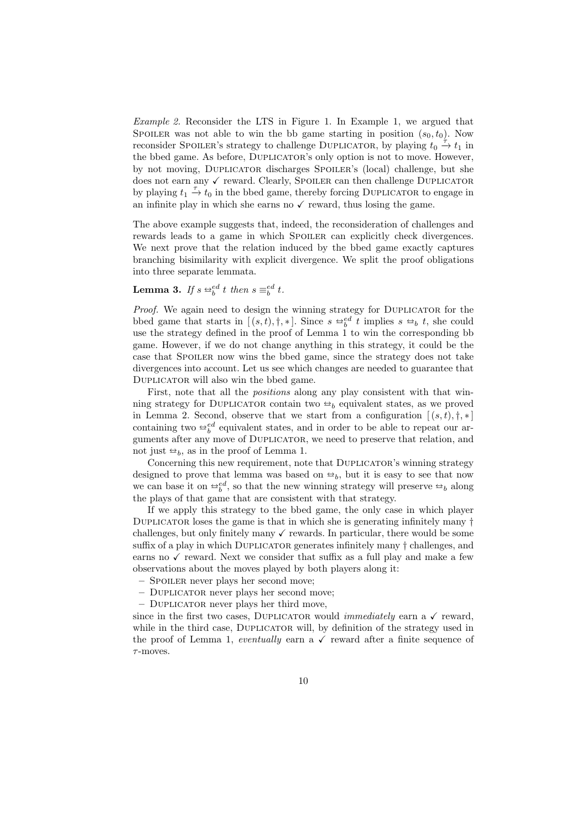Example 2. Reconsider the LTS in Figure 1. In Example 1, we argued that SPOILER was not able to win the bb game starting in position  $(s_0, t_0)$ . Now reconsider SPOILER's strategy to challenge DUPLICATOR, by playing  $t_0 \stackrel{\sim}{\rightarrow} t_1$  in the bbed game. As before, Duplicator's only option is not to move. However, by not moving, Duplicator discharges Spoiler's (local) challenge, but she does not earn any  $\checkmark$  reward. Clearly, SPOILER can then challenge DUPLICATOR by playing  $t_1 \stackrel{\tau}{\rightarrow} t_0$  in the bbed game, thereby forcing DUPLICATOR to engage in an infinite play in which she earns no  $\checkmark$  reward, thus losing the game.

The above example suggests that, indeed, the reconsideration of challenges and rewards leads to a game in which SPOILER can explicitly check divergences. We next prove that the relation induced by the bbed game exactly captures branching bisimilarity with explicit divergence. We split the proof obligations into three separate lemmata.

**Lemma 3.** If  $s \triangleleft^{\text{ed}}_b t$  then  $s \equiv^{\text{ed}}_b t$ .

Proof. We again need to design the winning strategy for DUPLICATOR for the bbed game that starts in  $[(s,t), \dagger, *]$ . Since  $s \stackrel{\leftrightarrow b}{\leftrightarrow} t$  implies  $s \stackrel{\leftrightarrow}{\leftrightarrow} t$ , she could use the strategy defined in the proof of Lemma  $1$  to win the corresponding bb game. However, if we do not change anything in this strategy, it could be the case that SPOILER now wins the bbed game, since the strategy does not take divergences into account. Let us see which changes are needed to guarantee that Duplicator will also win the bbed game.

First, note that all the *positions* along any play consistent with that winning strategy for DUPLICATOR contain two  $\omega_b$  equivalent states, as we proved in Lemma 2. Second, observe that we start from a configuration  $[(s,t), \dagger, *]$ containing two  $\mathfrak{S}^{ed}_{b}$  equivalent states, and in order to be able to repeat our ar-<br>guments ofter any move of DUBLICATOR, we need to reserve that relation, and guments after any move of Duplicator, we need to preserve that relation, and not just  $\bigoplus_k$ , as in the proof of Lemma 1.

Concerning this new requirement, note that DUPLICATOR's winning strategy designed to prove that lemma was based on  $\omega_b$ , but it is easy to see that now we can base it on  $\epsilon_b^{ed}$ , so that the new winning strategy will preserve  $\epsilon_b$  along the plays of that space that are some that the that strategy the plays of that game that are consistent with that strategy.

If we apply this strategy to the bbed game, the only case in which player DUPLICATOR loses the game is that in which she is generating infinitely many  $\dagger$ challenges, but only finitely many  $\checkmark$  rewards. In particular, there would be some suffix of a play in which Duplicator generates infinitely many † challenges, and earns no  $\checkmark$  reward. Next we consider that suffix as a full play and make a few observations about the moves played by both players along it:

- Spoiler never plays her second move;
- Duplicator never plays her second move;
- Duplicator never plays her third move,

since in the first two cases, DUPLICATOR would *immediately* earn a  $\checkmark$  reward, while in the third case, DUPLICATOR will, by definition of the strategy used in the proof of Lemma 1, eventually earn a  $\checkmark$  reward after a finite sequence of  $\tau$ -moves.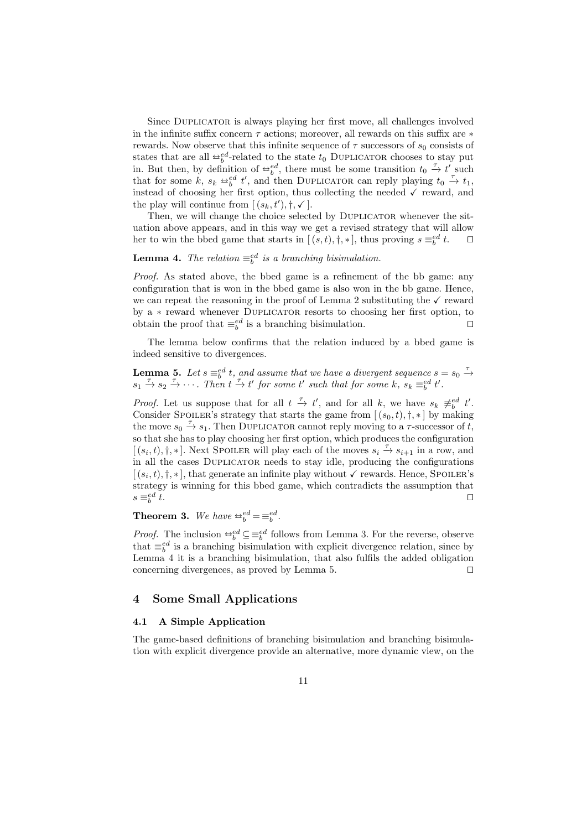Since Duplicator is always playing her first move, all challenges involved in the infinite suffix concern  $\tau$  actions; moreover, all rewards on this suffix are  $*$ rewards. Now observe that this infinite sequence of  $\tau$  successors of  $s_0$  consists of states that are all  $\frac{\omega_c^{ed}}{b}$ -related to the state  $t_0$  DUPLICATOR chooses to stay put<br>in But then by definition of  $\frac{\omega_c^{ed}}{b}$  there must be some transition  $t_c$ ,  $\frac{\tau}{\lambda}$ ,  $t_c$  such in. But then, by definition of  $\cong_b^{\epsilon d}$ , there must be some transition  $t_0 \stackrel{\tau}{\to} t'$  such that for some  $k$ ,  $\epsilon$ ,  $\cong_{\epsilon}^{\epsilon d} t'$  and then DUBLIONEOR sen reply playing  $t$ ,  $\stackrel{\tau}{\to} t$ , that for some  $k$ ,  $s_k \rightleftharpoons^{ed}_{b} t'$ , and then DUPLICATOR can reply playing  $t_0 \leftarrow t_1$ , instead of choosing her first option, thus collecting the needed  $\checkmark$  reward, and the play will continue from  $[(s_k, t'), \dagger, \checkmark]$ .

Then, we will change the choice selected by DUPLICATOR whenever the situation above appears, and in this way we get a revised strategy that will allow her to win the bbed game that starts in  $[(s,t),\dagger,*]$ , thus proving  $s \equiv_b^{ed}$  $\Box$ 

**Lemma 4.** The relation  $\equiv_b^{ed}$  is a branching bisimulation.

Proof. As stated above, the bbed game is a refinement of the bb game: any configuration that is won in the bbed game is also won in the bb game. Hence, we can repeat the reasoning in the proof of Lemma 2 substituting the  $\checkmark$  reward by a ∗ reward whenever Duplicator resorts to choosing her first option, to obtain the proof that  $\equiv_b^{ed}$  is a branching bisimulation.

The lemma below confirms that the relation induced by a bbed game is indeed sensitive to divergences.

**Lemma 5.** Let  $s \equiv_b^{ed} t$ , and assume that we have a divergent sequence  $s = s_0 \stackrel{\tau}{\rightarrow}$  $s_1 \stackrel{\tau}{\rightarrow} s_2 \stackrel{\tau}{\rightarrow} \cdots$ . Then  $t \stackrel{\tau}{\rightarrow} t'$  for some t' such that for some k,  $s_k \equiv_b^{ed} t'$ .

*Proof.* Let us suppose that for all  $t \stackrel{\tau}{\to} t'$ , and for all k, we have  $s_k \not\equiv_b^{ed} t'$ . Consider Spoiler's strategy that starts the game from  $[(s_0, t), \dagger, \ast]$  by making the move  $s_0 \stackrel{\tau}{\rightarrow} s_1$ . Then DUPLICATOR cannot reply moving to a  $\tau$ -successor of t, so that she has to play choosing her first option, which produces the configuration  $[(s_i,t),\dagger,*]$ . Next Spoiler will play each of the moves  $s_i \stackrel{\tau}{\rightarrow} s_{i+1}$  in a row, and in all the cases Duplicator needs to stay idle, producing the configurations  $[(s_i,t),\dagger,*]$ , that generate an infinite play without  $\checkmark$  rewards. Hence, SPOILER's strategy is winning for this bbed game, which contradicts the assumption that  $s \equiv_b^{ed}$ t.

**Theorem 3.** We have  $\Rightarrow_b^{ed} = \equiv_b^{ed}$ .

*Proof.* The inclusion  $\oplus_{b}^{ed} \subseteq \oplus_{b}^{ed}$  follows from Lemma 3. For the reverse, observe that  $-\infty$  is a branching biginulation with evolving divergence relation gines by that  $\equiv_b^{ed}$  is a branching bisimulation with explicit divergence relation, since by Lemma 4 it is a branching bisimulation, that also fulfils the added obligation concerning divergences, as proved by Lemma 5.  $\Box$ 

# 4 Some Small Applications

#### 4.1 A Simple Application

The game-based definitions of branching bisimulation and branching bisimulation with explicit divergence provide an alternative, more dynamic view, on the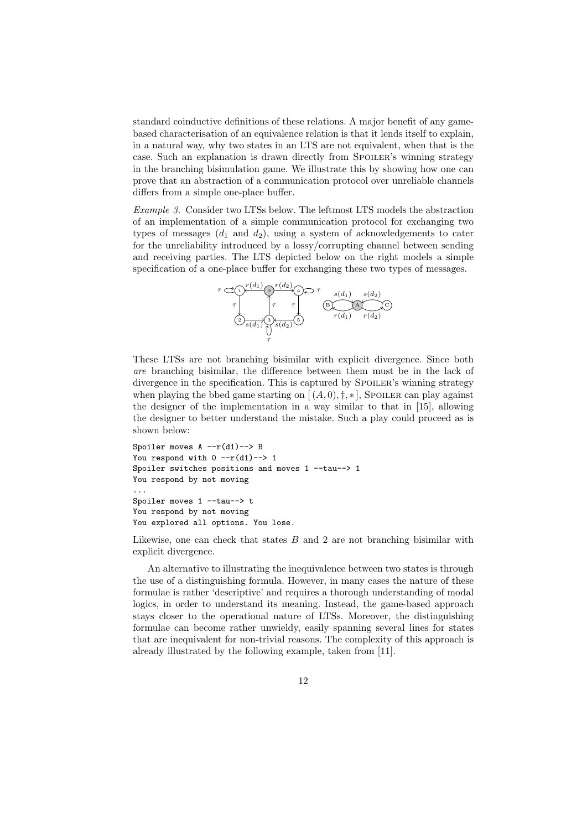standard coinductive definitions of these relations. A major benefit of any gamebased characterisation of an equivalence relation is that it lends itself to explain, in a natural way, why two states in an LTS are not equivalent, when that is the case. Such an explanation is drawn directly from SPOILER's winning strategy in the branching bisimulation game. We illustrate this by showing how one can prove that an abstraction of a communication protocol over unreliable channels differs from a simple one-place buffer.

Example 3. Consider two LTSs below. The leftmost LTS models the abstraction of an implementation of a simple communication protocol for exchanging two types of messages  $(d_1 \text{ and } d_2)$ , using a system of acknowledgements to cater for the unreliability introduced by a lossy/corrupting channel between sending and receiving parties. The LTS depicted below on the right models a simple specification of a one-place buffer for exchanging these two types of messages.



These LTSs are not branching bisimilar with explicit divergence. Since both are branching bisimilar, the difference between them must be in the lack of divergence in the specification. This is captured by SPOILER's winning strategy when playing the bbed game starting on  $[(A, 0), \dagger, \ast]$ , SPOILER can play against the designer of the implementation in a way similar to that in [15], allowing the designer to better understand the mistake. Such a play could proceed as is shown below:

```
Spoiler moves A --r(d1)--> B
You respond with 0 -r(d1) \rightarrow 1Spoiler switches positions and moves 1 --tau--> 1
You respond by not moving
...
Spoiler moves 1 --tau--> t
You respond by not moving
You explored all options. You lose.
```
Likewise, one can check that states  $B$  and 2 are not branching bisimilar with explicit divergence.

An alternative to illustrating the inequivalence between two states is through the use of a distinguishing formula. However, in many cases the nature of these formulae is rather 'descriptive' and requires a thorough understanding of modal logics, in order to understand its meaning. Instead, the game-based approach stays closer to the operational nature of LTSs. Moreover, the distinguishing formulae can become rather unwieldy, easily spanning several lines for states that are inequivalent for non-trivial reasons. The complexity of this approach is already illustrated by the following example, taken from [11].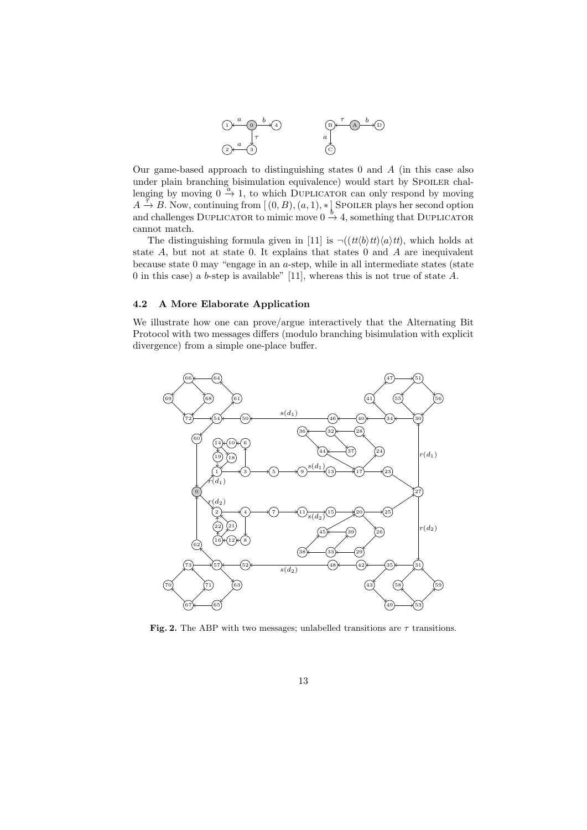

Our game-based approach to distinguishing states  $0$  and  $A$  (in this case also under plain branching bisimulation equivalence) would start by SPOILER challenging by moving  $0 \stackrel{a}{\rightarrow} 1$ , to which DUPLICATOR can only respond by moving  $A \stackrel{\neq}{\rightarrow} B$ . Now, continuing from  $[(0, B), (a, 1), *]$  Spoiler plays her second option and challenges DUPLICATOR to mimic move  $0 \stackrel{b}{\rightarrow} 4$ , something that DUPLICATOR cannot match.

The distinguishing formula given in [11] is  $\neg((tt/b)tt)\langle a\rangle tt$ , which holds at state A, but not at state 0. It explains that states 0 and A are inequivalent because state  $0$  may "engage in an  $a$ -step, while in all intermediate states (state 0 in this case) a b-step is available" [11], whereas this is not true of state  $A$ .

#### 4.2 A More Elaborate Application

We illustrate how one can prove/argue interactively that the Alternating Bit Protocol with two messages differs (modulo branching bisimulation with explicit divergence) from a simple one-place buffer.



Fig. 2. The ABP with two messages; unlabelled transitions are  $\tau$  transitions.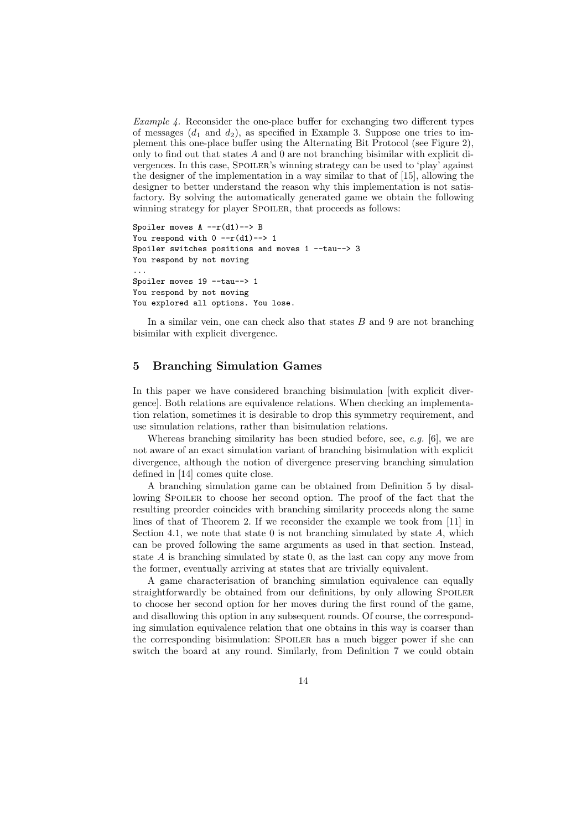Example 4. Reconsider the one-place buffer for exchanging two different types of messages  $(d_1 \text{ and } d_2)$ , as specified in Example 3. Suppose one tries to implement this one-place buffer using the Alternating Bit Protocol (see Figure 2), only to find out that states  $A$  and  $0$  are not branching bisimilar with explicit divergences. In this case, SPOILER's winning strategy can be used to 'play' against the designer of the implementation in a way similar to that of [15], allowing the designer to better understand the reason why this implementation is not satisfactory. By solving the automatically generated game we obtain the following winning strategy for player SPOILER, that proceeds as follows:

```
Spoiler moves A -r(d1)--> B
You respond with 0 -r(d1)--> 1
Spoiler switches positions and moves 1 --tau--> 3
You respond by not moving
...
Spoiler moves 19 --tau--> 1
You respond by not moving
You explored all options. You lose.
```
In a similar vein, one can check also that states  $B$  and  $9$  are not branching bisimilar with explicit divergence.

# 5 Branching Simulation Games

In this paper we have considered branching bisimulation [with explicit divergence]. Both relations are equivalence relations. When checking an implementation relation, sometimes it is desirable to drop this symmetry requirement, and use simulation relations, rather than bisimulation relations.

Whereas branching similarity has been studied before, see,  $e.g.$  [6], we are not aware of an exact simulation variant of branching bisimulation with explicit divergence, although the notion of divergence preserving branching simulation defined in [14] comes quite close.

A branching simulation game can be obtained from Definition 5 by disallowing SPOILER to choose her second option. The proof of the fact that the resulting preorder coincides with branching similarity proceeds along the same lines of that of Theorem 2. If we reconsider the example we took from [11] in Section 4.1, we note that state  $0$  is not branching simulated by state  $A$ , which can be proved following the same arguments as used in that section. Instead, state  $A$  is branching simulated by state  $0$ , as the last can copy any move from the former, eventually arriving at states that are trivially equivalent.

A game characterisation of branching simulation equivalence can equally straightforwardly be obtained from our definitions, by only allowing SPOILER to choose her second option for her moves during the first round of the game, and disallowing this option in any subsequent rounds. Of course, the corresponding simulation equivalence relation that one obtains in this way is coarser than the corresponding bisimulation: SPOILER has a much bigger power if she can switch the board at any round. Similarly, from Definition 7 we could obtain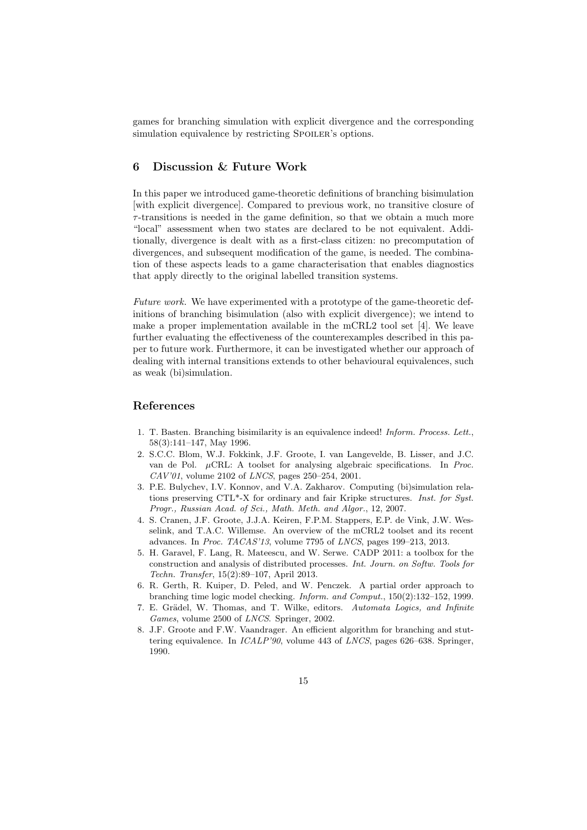games for branching simulation with explicit divergence and the corresponding simulation equivalence by restricting SPOILER's options.

# 6 Discussion & Future Work

In this paper we introduced game-theoretic definitions of branching bisimulation [with explicit divergence]. Compared to previous work, no transitive closure of  $\tau$ -transitions is needed in the game definition, so that we obtain a much more "local" assessment when two states are declared to be not equivalent. Additionally, divergence is dealt with as a first-class citizen: no precomputation of divergences, and subsequent modification of the game, is needed. The combination of these aspects leads to a game characterisation that enables diagnostics that apply directly to the original labelled transition systems.

Future work. We have experimented with a prototype of the game-theoretic definitions of branching bisimulation (also with explicit divergence); we intend to make a proper implementation available in the mCRL2 tool set  $[4]$ . We leave further evaluating the effectiveness of the counterexamples described in this paper to future work. Furthermore, it can be investigated whether our approach of dealing with internal transitions extends to other behavioural equivalences, such as weak (bi)simulation.

# References

- 1. T. Basten. Branching bisimilarity is an equivalence indeed! Inform. Process. Lett., 58(3):141–147, May 1996.
- 2. S.C.C. Blom, W.J. Fokkink, J.F. Groote, I. van Langevelde, B. Lisser, and J.C. van de Pol. µCRL: A toolset for analysing algebraic specifications. In Proc. CAV'01, volume 2102 of LNCS, pages 250–254, 2001.
- 3. P.E. Bulychev, I.V. Konnov, and V.A. Zakharov. Computing (bi)simulation relations preserving CTL\*-X for ordinary and fair Kripke structures. Inst. for Syst. Progr., Russian Acad. of Sci., Math. Meth. and Algor., 12, 2007.
- 4. S. Cranen, J.F. Groote, J.J.A. Keiren, F.P.M. Stappers, E.P. de Vink, J.W. Wesselink, and T.A.C. Willemse. An overview of the mCRL2 toolset and its recent advances. In Proc. TACAS'13, volume 7795 of LNCS, pages 199–213, 2013.
- 5. H. Garavel, F. Lang, R. Mateescu, and W. Serwe. CADP 2011: a toolbox for the construction and analysis of distributed processes. Int. Journ. on Softw. Tools for Techn. Transfer, 15(2):89–107, April 2013.
- 6. R. Gerth, R. Kuiper, D. Peled, and W. Penczek. A partial order approach to branching time logic model checking. Inform. and Comput., 150(2):132–152, 1999.
- 7. E. Grädel, W. Thomas, and T. Wilke, editors. Automata Logics, and Infinite Games, volume 2500 of LNCS. Springer, 2002.
- 8. J.F. Groote and F.W. Vaandrager. An efficient algorithm for branching and stuttering equivalence. In ICALP'90, volume 443 of LNCS, pages 626–638. Springer, 1990.